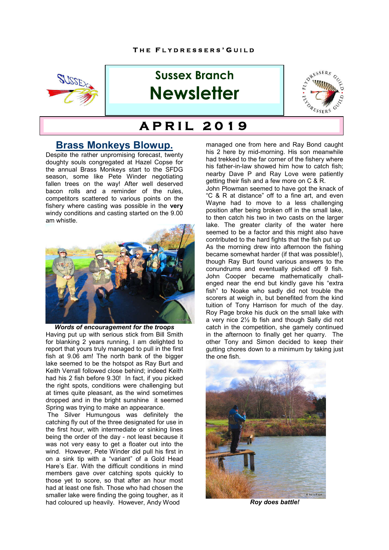

# **Sussex Branch Newsletter**



#### **H** B E F C A F  **A P R I L 2 0 1 9**

## **Brass Monkeys Blowup.**

Despite the rather unpromising forecast, twenty doughty souls congregated at Hazel Copse for the annual Brass Monkeys start to the SFDG season, some like Pete Winder negotiating fallen trees on the way! After well deserved bacon rolls and a reminder of the rules, competitors scattered to various points on the fishery where casting was possible in the **very** windy conditions and casting started on the 9.00 am whistle.



*Words of encouragement for the troops* Having put up with serious stick from Bill Smith for blanking 2 years running, I am delighted to report that yours truly managed to pull in the first fish at 9.06 am! The north bank of the bigger lake seemed to be the hotspot as Ray Burt and Keith Verrall followed close behind; indeed Keith had his 2 fish before 9.30! In fact, if you picked the right spots, conditions were challenging but at times quite pleasant, as the wind sometimes dropped and in the bright sunshine it seemed Spring was trying to make an appearance.

 The Silver Humungous was definitely the catching fly out of the three designated for use in the first hour, with intermediate or sinking lines being the order of the day - not least because it was not very easy to get a floater out into the wind. However, Pete Winder did pull his first in on a sink tip with a "variant" of a Gold Head Hare's Ear. With the difficult conditions in mind members gave over catching spots quickly to those yet to score, so that after an hour most had at least one fish. Those who had chosen the smaller lake were finding the going tougher, as it had coloured up heavily. However, Andy Wood

managed one from here and Ray Bond caught his 2 here by mid-morning. His son meanwhile had trekked to the far corner of the fishery where his father-in-law showed him how to catch fish; nearby Dave P and Ray Love were patiently getting their fish and a few more on C & R.

John Plowman seemed to have got the knack of "C & R at distance" off to a fine art, and even Wayne had to move to a less challenging position after being broken off in the small lake, to then catch his two in two casts on the larger lake. The greater clarity of the water here seemed to be a factor and this might also have contributed to the hard fights that the fish put up As the morning drew into afternoon the fishing became somewhat harder (if that was possible!), though Ray Burt found various answers to the conundrums and eventually picked off 9 fish. John Cooper became mathematically challenged near the end but kindly gave his "extra fish" to Noake who sadly did not trouble the scorers at weigh in, but benefited from the kind tuition of Tony Harrison for much of the day. Roy Page broke his duck on the small lake with a very nice 2½ lb fish and though Sally did not catch in the competition, she gamely continued in the afternoon to finally get her quarry. The other Tony and Simon decided to keep their gutting chores down to a minimum by taking just the one fish.



*Roy does battle!*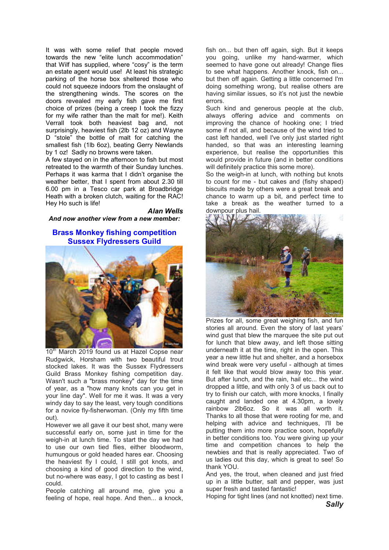It was with some relief that people moved towards the new "elite lunch accommodation" that Wilf has supplied, where "cosy" is the term an estate agent would use! At least his strategic parking of the horse box sheltered those who could not squeeze indoors from the onslaught of the strengthening winds. The scores on the doors revealed my early fish gave me first choice of prizes (being a creep I took the fizzy for my wife rather than the malt for me!). Keith Verrall took both heaviest bag and, not surprisingly, heaviest fish (2lb 12 oz) and Wayne D "stole" the bottle of malt for catching the smallest fish (1lb 6oz), beating Gerry Newlands by 1 oz! Sadly no browns were taken.

A few stayed on in the afternoon to fish but most retreated to the warmth of their Sunday lunches. Perhaps it was karma that I didn't organise the weather better, that I spent from about 2.30 till 6.00 pm in a Tesco car park at Broadbridge Heath with a broken clutch, waiting for the RAC! Hey Ho such is life!

*Alan Wells And now another view from a new member:*

### **Brass Monkey fishing competition Sussex Flydressers Guild**



10<sup>th</sup> March 2019 found us at Hazel Copse near Rudgwick, Horsham with two beautiful trout stocked lakes. It was the Sussex Flydressers Guild Brass Monkey fishing competition day. Wasn't such a "brass monkey" day for the time of year, as a "how many knots can you get in your line day". Well for me it was. It was a very windy day to say the least, very tough conditions for a novice fly-fisherwoman. (Only my fifth time out).

However we all gave it our best shot, many were successful early on, some just in time for the weigh-in at lunch time. To start the day we had to use our own tied flies, either bloodworm, humungous or gold headed hares ear. Choosing the heaviest fly I could, I still got knots, and choosing a kind of good direction to the wind, but no-where was easy, I got to casting as best I could.

People catching all around me, give you a feeling of hope, real hope. And then... a knock,

fish on... but then off again, sigh. But it keeps you going, unlike my hand-warmer, which seemed to have gone out already! Change flies to see what happens. Another knock, fish on... but then off again. Getting a little concerned I'm doing something wrong, but realise others are having similar issues, so it's not just the newbie errors.

Such kind and generous people at the club, always offering advice and comments on improving the chance of hooking one; I tried some if not all, and because of the wind tried to cast left handed, well I've only just started right handed, so that was an interesting learning experience, but realise the opportunities this would provide in future (and in better conditions will definitely practice this some more).

So the weigh-in at lunch, with nothing but knots to count for me - but cakes and (fishy shaped) biscuits made by others were a great break and chance to warm up a bit, and perfect time to take a break as the weather turned to a downpour plus hail.



Prizes for all, some great weighing fish, and fun stories all around. Even the story of last years' wind qust that blew the marquee the site put out for lunch that blew away, and left those sitting underneath it at the time, right in the open. This year a new little hut and shelter, and a horsebox wind break were very useful - although at times it felt like that would blow away too this year. But after lunch, and the rain, hail etc... the wind dropped a little, and with only 3 of us back out to try to finish our catch, with more knocks, I finally caught and landed one at 4.30pm, a lovely rainbow 2lb6oz. So it was all worth it. Thanks to all those that were rooting for me, and helping with advice and techniques, I'll be putting them into more practice soon, hopefully in better conditions too. You were giving up your time and competition chances to help the newbies and that is really appreciated. Two of us ladies out this day, which is great to see! So thank YOU.

And yes, the trout, when cleaned and just fried up in a little butter, salt and pepper, was just super fresh and tasted fantastic!

Hoping for tight lines (and not knotted) next time.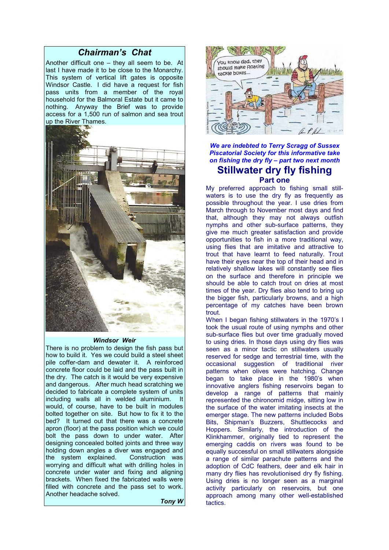### *Chairman's Chat*

Another difficult one – they all seem to be. At last I have made it to be close to the Monarchy. This system of vertical lift gates is opposite Windsor Castle. I did have a request for fish pass units from a member of the royal household for the Balmoral Estate but it came to nothing. Anyway the Brief was to provide access for a 1,500 run of salmon and sea trout up the River Thames.



#### *Windsor Weir*

There is no problem to design the fish pass but how to build it. Yes we could build a steel sheet pile coffer-dam and dewater it. A reinforced concrete floor could be laid and the pass built in the dry. The catch is it would be very expensive and dangerous. After much head scratching we decided to fabricate a complete system of units including walls all in welded aluminium. It would, of course, have to be built in modules bolted together on site. But how to fix it to the bed? It turned out that there was a concrete apron (floor) at the pass position which we could bolt the pass down to under water. After designing concealed bolted joints and three way holding down angles a diver was engaged and the system explained. Construction was worrying and difficult what with drilling holes in concrete under water and fixing and aligning brackets. When fixed the fabricated walls were filled with concrete and the pass set to work. Another headache solved.

*Tony W*



*We are indebted to Terry Scragg of Sussex Piscatorial Society for this informative take on fishing the dry fly – part two next month* **Stillwater dry fly fishing**

### **Part one**

My preferred approach to fishing small stillwaters is to use the dry fly as frequently as possible throughout the year. I use dries from March through to November most days and find that, although they may not always outfish nymphs and other sub-surface patterns, they give me much greater satisfaction and provide opportunities to fish in a more traditional way, using flies that are imitative and attractive to trout that have learnt to feed naturally. Trout have their eyes near the top of their head and in relatively shallow lakes will constantly see flies on the surface and therefore in principle we should be able to catch trout on dries at most times of the year. Dry flies also tend to bring up the bigger fish, particularly browns, and a high percentage of my catches have been brown trout.

When I began fishing stillwaters in the 1970's I took the usual route of using nymphs and other sub-surface flies but over time gradually moved to using dries. In those days using dry flies was seen as a minor tactic on stillwaters usually reserved for sedge and terrestrial time, with the occasional suggestion of traditional river patterns when olives were hatching. Change began to take place in the 1980's when innovative anglers fishing reservoirs began to develop a range of patterns that mainly represented the chironomid midge, sitting low in the surface of the water imitating insects at the emerger stage. The new patterns included Bobs Bits, Shipman's Buzzers, Shuttlecocks and Hoppers. Similarly, the introduction of the Klinkhammer, originally tied to represent the emerging caddis on rivers was found to be equally successful on small stillwaters alongside a range of similar parachute patterns and the adoption of CdC feathers, deer and elk hair in many dry flies has revolutionised dry fly fishing. Using dries is no longer seen as a marginal activity particularly on reservoirs, but one approach among many other well-established tactics.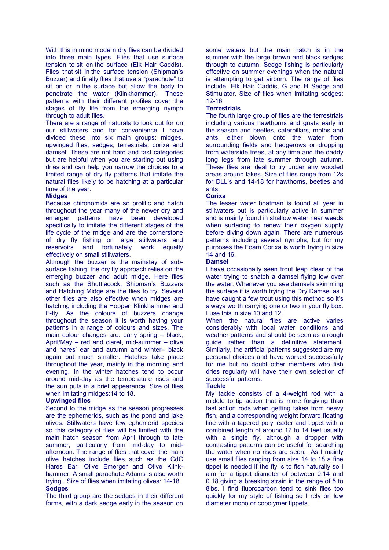With this in mind modern dry flies can be divided into three main types. Flies that use surface tension to sit on the surface (Elk Hair Caddis). Flies that sit in the surface tension (Shipman's Buzzer) and finally flies that use a "parachute" to sit on or in the surface but allow the body to penetrate the water (Klinkhammer). These patterns with their different profiles cover the stages of fly life from the emerging nymph through to adult flies.

There are a range of naturals to look out for on our stillwaters and for convenience I have divided these into six main groups: midges, upwinged flies, sedges, terrestrials, corixa and damsel. These are not hard and fast categories but are helpful when you are starting out using dries and can help you narrow the choices to a limited range of dry fly patterns that imitate the natural flies likely to be hatching at a particular time of the year.

#### **Midges**

Because chironomids are so prolific and hatch throughout the year many of the newer dry and emerger patterns have been developed specifically to imitate the different stages of the life cycle of the midge and are the cornerstone of dry fly fishing on large stillwaters and reservoirs and fortunately work equally effectively on small stillwaters.

Although the buzzer is the mainstay of subsurface fishing, the dry fly approach relies on the emerging buzzer and adult midge. Here flies such as the Shuttlecock, Shipman's Buzzers and Hatching Midge are the flies to try. Several other flies are also effective when midges are hatching including the Hopper, Klinkhammer and F-fly. As the colours of buzzers change throughout the season it is worth having your patterns in a range of colours and sizes. The main colour changes are: early spring – black, April/May – red and claret, mid-summer – olive and hares' ear and autumn and winter– black again but much smaller. Hatches take place throughout the year, mainly in the morning and evening. In the winter hatches tend to occur around mid-day as the temperature rises and the sun puts in a brief appearance. Size of flies when imitating midges:14 to 18.

#### **Upwinged flies**

Second to the midge as the season progresses are the ephemerids, such as the pond and lake olives. Stillwaters have few ephemerid species so this category of flies will be limited with the main hatch season from April through to late summer, particularly from mid-day to midafternoon. The range of flies that cover the main olive hatches include flies such as the CdC Hares Ear, Olive Emerger and Olive Klinkhammer. A small parachute Adams is also worth trying. Size of flies when imitating olives: 14-18 **Sedges**

The third group are the sedges in their different forms, with a dark sedge early in the season on

some waters but the main hatch is in the summer with the large brown and black sedges through to autumn. Sedge fishing is particularly effective on summer evenings when the natural is attempting to get airborn. The range of flies include, Elk Hair Caddis, G and H Sedge and Stimulator. Size of flies when imitating sedges: 12-16

#### **Terrestrials**

The fourth large group of flies are the terrestrials including various hawthorns and gnats early in the season and beetles, caterpillars, moths and ants, either blown onto the water from surrounding fields and hedgerows or dropping from waterside trees, at any time and the daddy long legs from late summer through autumn. These flies are ideal to try under any wooded areas around lakes. Size of flies range from 12s for DLL's and 14-18 for hawthorns, beetles and ants.

#### **Corixa**

The lesser water boatman is found all year in stillwaters but is particularly active in summer and is mainly found in shallow water near weeds when surfacing to renew their oxygen supply before diving down again. There are numerous patterns including several nymphs, but for my purposes the Foam Corixa is worth trying in size 14 and 16.

#### **Damsel**

I have occasionally seen trout leap clear of the water trying to snatch a damsel flying low over the water. Whenever you see damsels skimming the surface it is worth trying the Dry Damsel as I have caught a few trout using this method so it's always worth carrying one or two in your fly box. I use this in size 10 and 12.

When the natural flies are active varies considerably with local water conditions and weather patterns and should be seen as a rough guide rather than a definitive statement. Similarly, the artificial patterns suggested are my personal choices and have worked successfully for me but no doubt other members who fish dries regularly will have their own selection of successful patterns.

#### **Tackle**

My tackle consists of a 4-weight rod with a middle to tip action that is more forgiving than fast action rods when getting takes from heavy fish, and a corresponding weight forward floating line with a tapered poly leader and tippet with a combined length of around 12 to 14 feet usually with a single fly, although a dropper with contrasting patterns can be useful for searching the water when no rises are seen. As I mainly use small flies ranging from size 14 to 18 a fine tippet is needed if the fly is to fish naturally so I aim for a tippet diameter of between 0.14 and 0.18 giving a breaking strain in the range of 5 to 8lbs. I find fluorocarbon tend to sink flies too quickly for my style of fishing so I rely on low diameter mono or copolymer tippets.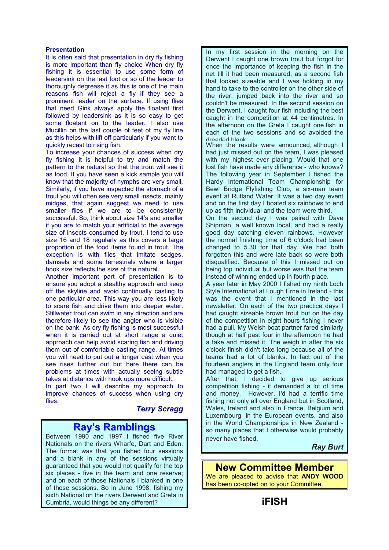#### **Presentation**

It is often said that presentation in dry fly fishing is more important than fly choice When dry fly fishing it is essential to use some form of leadersink on the last foot or so of the leader to thoroughly degrease it as this is one of the main reasons fish will reject a fly if they see a prominent leader on the surface. If using flies that need Gink always apply the floatant first followed by leadersink as it is so easy to get some floatant on to the leader. I also use Mucillin on the last couple of feet of my fly line as this helps with lift off particularly if you want to quickly recast to rising fish.

To increase your chances of success when dry fly fishing it is helpful to try and match the pattern to the natural so that the trout will see it as food. If you have seen a kick sample you will know that the majority of nymphs are very small. Similarly, if you have inspected the stomach of a trout you will often see very small insects, mainly midges, that again suggest we need to use smaller flies if we are to be consistently successful. So, think about size 14's and smaller if you are to match your artificial to the average size of insects consumed by trout. I tend to use size 16 and 18 regularly as this covers a large proportion of the food items found in trout. The exception is with flies that imitate sedges, damsels and some terrestrials where a larger hook size reflects the size of the natural.

Another important part of presentation is to ensure you adopt a stealthy approach and keep off the skyline and avoid continually casting to one particular area. This way you are less likely to scare fish and drive them into deeper water. Stillwater trout can swim in any direction and are therefore likely to see the angler who is visible on the bank. As dry fly fishing is most successful when it is carried out at short range a quiet approach can help avoid scaring fish and driving them out of comfortable casting range. At times you will need to put out a longer cast when you see rises further out but here there can be problems at times with actually seeing subtle takes at distance with hook ups more difficult.

In part two I will describe my approach to improve chances of success when using dry flies.

*Terry Scragg*

# **Ray's Ramblings**

Between 1990 and 1997 I fished five River Nationals on the rivers Wharfe, Dart and Eden. The format was that you fished four sessions and a blank in any of the sessions virtually guaranteed that you would not qualify for the top six places - five in the team and one reserve; and on each of those Nationals I blanked in one of those sessions. So in June 1998, fishing my sixth National on the rivers Derwent and Greta in Cumbria, would things be any different?

In my first session in the morning on the Derwent I caught one brown trout but forgot for once the importance of keeping the fish in the net till it had been measured, as a second fish that looked sizeable and I was holding in my hand to take to the controller on the other side of the river, jumped back into the river and so couldn't be measured. In the second session on the Derwent, I caught four fish including the best caught in the competition at 44 centimetres. In the afternoon on the Greta I caught one fish in each of the two sessions and so avoided the dreaded blank.

When the results were announced, although I had just missed out on the team, I was pleased with my highest ever placing. Would that one lost fish have made any difference - who knows? The following year in September I fished the Hardy International Team Championship for Bewl Bridge Flyfishing Club, a six-man team event at Rutland Water. It was a two day event and on the first day I boated six rainbows to end up as fifth individual and the team were third.

On the second day I was paired with Dave Shipman, a well known local, and had a really good day catching eleven rainbows. However the normal finishing time of 6 o'clock had been changed to 5.30 for that day. We had both forgotten this and were late back so were both disqualified. Because of this I missed out on being top individual but worse was that the team instead of winning ended up in fourth place.

A year later in May 2000 I fished my ninth Loch Style International at Lough Erne in Ireland - this was the event that I mentioned in the last newsletter. On each of the two practice days I had caught sizeable brown trout but on the day of the competition in eight hours fishing I never had a pull. My Welsh boat partner fared similarly though at half past four in the afternoon he had a take and missed it. The weigh in after the six o'clock finish didn't take long because all of the teams had a lot of blanks. In fact out of the fourteen anglers in the England team only four had managed to get a fish.

After that, I decided to give up serious competition fishing - it demanded a lot of time and money. However, I'd had a terrific time fishing not only all over England but in Scotland, Wales, Ireland and also in France, Belgium and Luxembourg in the European events, and also in the World Championships in New Zealand so many places that I otherwise would probably never have fished.

*Ray Burt*

### **New Committee Member**

We are pleased to advise that **ANDY WOOD**  has been co-opted on to your Committee.

**iFISH**